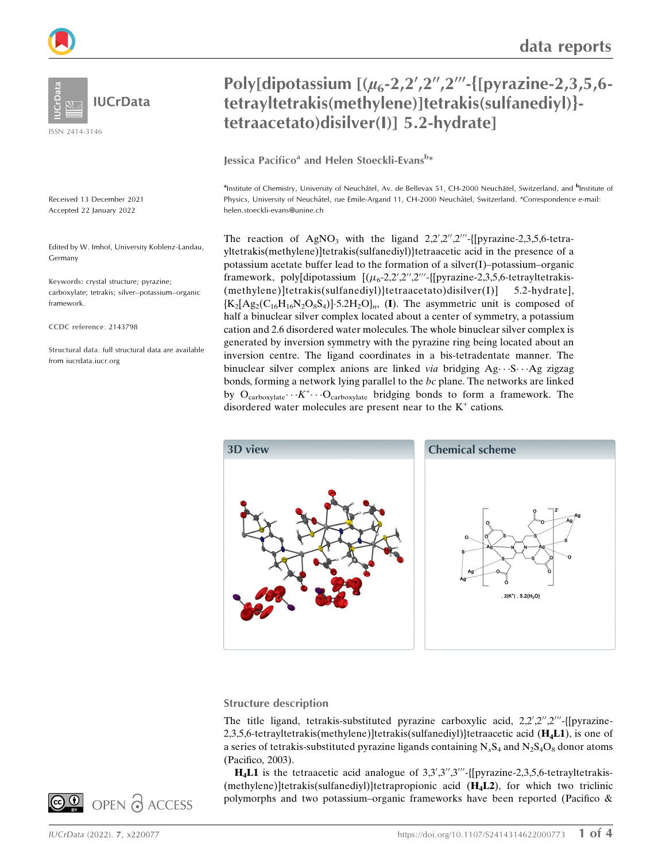

**IUCrData** 

ISSN 2414-3146

Received 13 December 2021 Accepted 22 January 2022

Edited by W. Imhof, University Koblenz-Landau, Germany

Keywords: crystal structure; pyrazine; carboxylate; tetrakis; silver–potassium–organic framework.

CCDC reference: 2143798

Structural data: full structural data are available from iucrdata.iucr.org

# Poly[dipotassium  $[(\mu_6-2,2^{\prime},2^{\prime\prime},2^{\prime\prime\prime}$ -{[pyrazine-2,3,5,6tetrayltetrakis(methylene)]tetrakis(sulfanediyl)} tetraacetato)disilver(I)] 5.2-hydrate]

Jessica Pacifico<sup>a</sup> and Helen Stoeckli-Evans<sup>b</sup>\*

<sup>a</sup>Institute of Chemistry, University of Neuchâtel, Av. de Bellevax 51, CH-2000 Neuchâtel, Switzerland, and <sup>b</sup>Institute of Physics, University of Neuchâtel, rue Emile-Argand 11, CH-2000 Neuchâtel, Switzerland. \*Correspondence e-mail: helen.stoeckli-evans@unine.ch

The reaction of  $AgNO<sub>3</sub>$  with the ligand  $2,2',2''',2'''$ -[[pyrazine-2,3,5,6-tetrayltetrakis(methylene)]tetrakis(sulfanediyl)}tetraacetic acid in the presence of a potassium acetate buffer lead to the formation of a silver(I)–potassium–organic framework, poly[dipotassium  $[(\mu_6\times 2, 2', 2'', 2''']$ [pyrazine-2,3,5,6-tetrayltetrakis-(methylene)]tetrakis(sulfanediyl)}tetraacetato)disilver(I)] 5.2-hydrate],  ${K_2[Ag_2(C_{16}H_{16}N_2O_8S_4)]}{.5.2H_2O}_m$ , (I). The asymmetric unit is composed of half a binuclear silver complex located about a center of symmetry, a potassium cation and 2.6 disordered water molecules. The whole binuclear silver complex is generated by inversion symmetry with the pyrazine ring being located about an inversion centre. The ligand coordinates in a bis-tetradentate manner. The binuclear silver complex anions are linked via bridging Ag- · · S- · · Ag zigzag bonds, forming a network lying parallel to the bc plane. The networks are linked by  $O_{\text{carboxylate}} \cdots K^+ \cdots O_{\text{carboxylate}}$  bridging bonds to form a framework. The disordered water molecules are present near to the  $K^+$  cations.



### Structure description

The title ligand, tetrakis-substituted pyrazine carboxylic acid, 2,2',2",2"'-{[pyrazine-2,3,5,6-tetrayltetrakis(methylene)]tetrakis(sulfanediyl)}tetraacetic acid  $(H<sub>4</sub>L1)$ , is one of a series of tetrakis-substituted pyrazine ligands containing  $N_xS_4$  and  $N_2S_4O_8$  donor atoms (Pacifico, 2003).

H<sub>4</sub>L1 is the tetraacetic acid analogue of  $3,3',3''$ ,  $3''$ -{[pyrazine-2,3,5,6-tetrayltetrakis-(methylene)]tetrakis(sulfanediyl)}tetrapropionic acid (H4L2), for which two triclinic polymorphs and two potassium–organic frameworks have been reported (Pacifico &

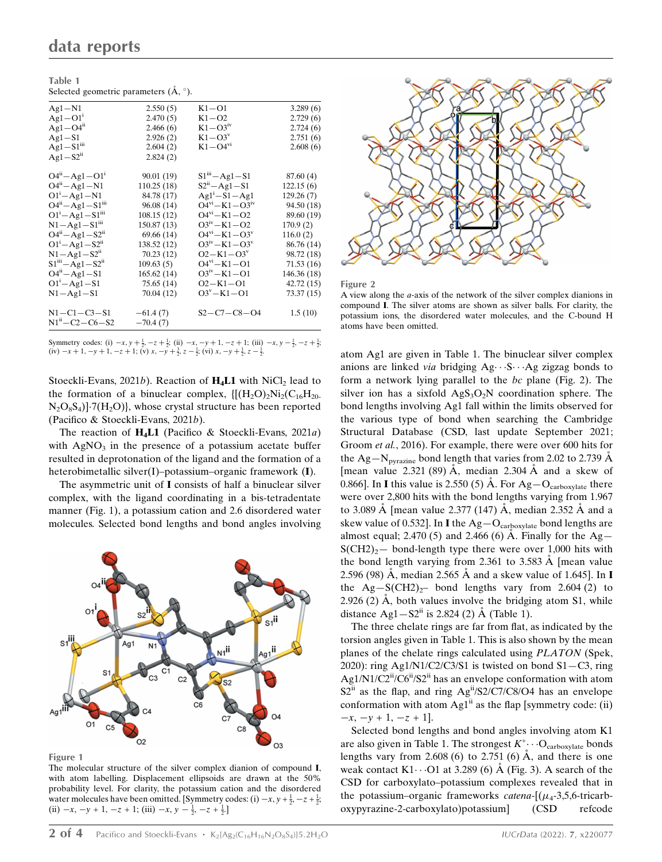| Table 1                                        |             |                             |             |
|------------------------------------------------|-------------|-----------------------------|-------------|
| Selected geometric parameters $(A, \degree)$ . |             |                             |             |
| $Ag1-N1$                                       | 2.550(5)    | $K1 - O1$                   | 3.289(6)    |
| $Ag1-O11$                                      | 2.470(5)    | $K1 - O2$                   | 2.729(6)    |
| $Ag1 - O4ii$                                   | 2.466(6)    | $K1 - O3iv$                 | 2.724(6)    |
| $Ag1-S1$                                       | 2.926(2)    | $K1 - O3^v$                 | 2.751(6)    |
| $Ag1-S1$ <sup>iii</sup>                        | 2.604(2)    | $K1 - O4^{vi}$              | 2.608(6)    |
| $Ag1-S2ii$                                     | 2.824(2)    |                             |             |
| $O4^{ii} - Ag1 - O1^{i}$                       | 90.01(19)   | $S1III - Ag1 - S1$          | 87.60(4)    |
| $O4^{n} - Ag1 - N1$                            | 110.25(18)  | $S2^{n}-Ag1-S1$             | 122.15(6)   |
| $O1 - Ag1 - N1$                                | 84.78 (17)  | $Ag1 - S1 - Ag1$            | 129.26(7)   |
| $O4^{ii} - Ag1 - S1^{iii}$                     | 96.08(14)   | $O4^{VI} - K1 - O3^{IV}$    | 94.50 (18)  |
| $O1^1 - Ag1 - S1^{iii}$                        | 108.15(12)  | $O4^{vi} - K1 - O2$         | 89.60 (19)  |
| $N1 - Ag1 - S1$ <sup>iii</sup>                 | 150.87 (13) | $O3^{iv} - K1 - O2$         | 170.9(2)    |
| $O4^{ii} - Ag1 - S2^{ii}$                      | 69.66(14)   | $O4^{VI} - K1 - O3^{V}$     | 116.0(2)    |
| $O1^1 - Ag1 - S2^1$                            | 138.52 (12) | $O3^{iv} - K1 - O3^{v}$     | 86.76 (14)  |
| $N1 - Ag1 - S2n$                               | 70.23(12)   | $O2 - K1 - O3$ <sup>v</sup> | 98.72 (18)  |
| $S1^{iii} - Ag1 - S2^{ii}$                     | 109.63(5)   | $O4^{vi} - K1 - O1$         | 71.53(16)   |
| $O4^{i} - Ag1 - S1$                            | 165.62(14)  | $O3^{iv} - K1 - O1$         | 146.36 (18) |
| $O1^1 - Ag1 - S1$                              | 75.65(14)   | $O2 - K1 - O1$              | 42.72(15)   |
| $N1 - Ag1 - S1$                                | 70.04(12)   | $O3^{\nu} - K1 - O1$        | 73.37 (15)  |
| $N1 - C1 - C3 - S1$                            | $-61.4(7)$  | $S2 - C7 - C8 - O4$         | 1.5(10)     |
| $N1^{ii} - C2 - C6 - S2$                       | $-70.4(7)$  |                             |             |
|                                                |             |                             |             |

Symmetry codes: (i)  $-x, y + \frac{1}{2}, -z + \frac{1}{2}$ ; (ii)  $-x, -y + 1, -z + 1$ ; (iii)  $-x, y - \frac{1}{2}, -z + \frac{1}{2}$ ; (iv)  $-x+1$ ,  $-y+1$ ,  $-z+1$ ; (v)  $x$ ,  $-y+\frac{3}{2}$ ,  $z-\frac{1}{2}$ ; (vi)  $x$ ,  $-y+\frac{1}{2}$ ,  $z-\frac{1}{2}$ .

Stoeckli-Evans, 2021b). Reaction of  $H_4L1$  with NiCl<sub>2</sub> lead to the formation of a binuclear complex,  $\{[(H_2O)_2Ni_2(C_{16}H_{20}$  $N_2O_8S_4$ ] $\cdot$ 7(H<sub>2</sub>O)}, whose crystal structure has been reported (Pacifico & Stoeckli-Evans, 2021b).

The reaction of  $H_4L1$  (Pacifico & Stoeckli-Evans, 2021a) with  $AgNO<sub>3</sub>$  in the presence of a potassium acetate buffer resulted in deprotonation of the ligand and the formation of a heterobimetallic silver(I)–potassium–organic framework (I).

The asymmetric unit of I consists of half a binuclear silver complex, with the ligand coordinating in a bis-tetradentate manner (Fig. 1), a potassium cation and 2.6 disordered water molecules. Selected bond lengths and bond angles involving



Figure 1

The molecular structure of the silver complex dianion of compound I, with atom labelling. Displacement ellipsoids are drawn at the 50% probability level. For clarity, the potassium cation and the disordered water molecules have been omitted. [Symmetry codes: (i)  $-x$ ,  $y + \frac{1}{2}$ ,  $-z + \frac{1}{2}$ ; (ii)  $-x$ ,  $-y + 1$ ,  $-z + 1$ ; (iii)  $-x$ ,  $y - \frac{1}{2}$ ,  $-z + \frac{1}{2}$ .]



Figure 2

A view along the a-axis of the network of the silver complex dianions in compound I. The silver atoms are shown as silver balls. For clarity, the potassium ions, the disordered water molecules, and the C-bound H atoms have been omitted.

atom Ag1 are given in Table 1. The binuclear silver complex anions are linked via bridging Ag ··· S ··· Ag zigzag bonds to form a network lying parallel to the bc plane (Fig. 2). The silver ion has a sixfold  $AgS_3O_2N$  coordination sphere. The bond lengths involving Ag1 fall within the limits observed for the various type of bond when searching the Cambridge Structural Database (CSD, last update September 2021; Groom et al., 2016). For example, there were over 600 hits for the Ag–N<sub>pyrazine</sub> bond length that varies from 2.02 to 2.739  $\AA$ [mean value 2.321 (89)  $\AA$ , median 2.304  $\AA$  and a skew of 0.866]. In I this value is 2.550 (5) A. For  $Ag-O_{carboxulate}$  there were over 2,800 hits with the bond lengths varying from 1.967 to 3.089  $\AA$  [mean value 2.377 (147)  $\AA$ , median 2.352  $\AA$  and a skew value of 0.532]. In **I** the  $Ag-O<sub>carboxylate</sub>$  bond lengths are almost equal; 2.470 (5) and 2.466 (6)  $\AA$ . Finally for the Ag- $S(CH2)_2$ — bond-length type there were over 1,000 hits with the bond length varying from 2.361 to 3.583  $\AA$  [mean value 2.596 (98) Å, median 2.565 Å and a skew value of 1.645]. In **I** the Ag-S(CH2)<sub>2</sub>– bond lengths vary from 2.604 (2) to  $2.926$  (2) Å, both values involve the bridging atom S1, while distance Ag1 –  $S2^{ii}$  is 2.824 (2) Å (Table 1).

The three chelate rings are far from flat, as indicated by the torsion angles given in Table 1. This is also shown by the mean planes of the chelate rings calculated using PLATON (Spek, 2020): ring Ag1/N1/C2/C3/S1 is twisted on bond  $S1 - C3$ , ring Ag1/N1/C2 $\mathrm{H}^{\text{H}}$ /C6 $\mathrm{H}^{\text{H}}$ /S2 $\mathrm{H}^{\text{H}}$  has an envelope conformation with atom  $S2<sup>ii</sup>$  as the flap, and ring Ag<sup>ii</sup>/S2/C7/C8/O4 has an envelope conformation with atom  $Ag1<sup>ii</sup>$  as the flap [symmetry code: (ii)  $-x, -y + 1, -z + 1$ .

Selected bond lengths and bond angles involving atom K1 are also given in Table 1. The strongest  $K^+$   $\cdot \cdot O_{\text{carboxylate}}$  bonds lengths vary from  $2.608(6)$  to  $2.751(6)$  Å, and there is one weak contact  $K1 \cdots$ O1 at 3.289 (6) Å (Fig. 3). A search of the CSD for carboxylato–potassium complexes revealed that in the potassium-organic frameworks *catena*- $[(\mu_4$ -3,5,6-tricarboxypyrazine-2-carboxylato)potassium] (CSD refcode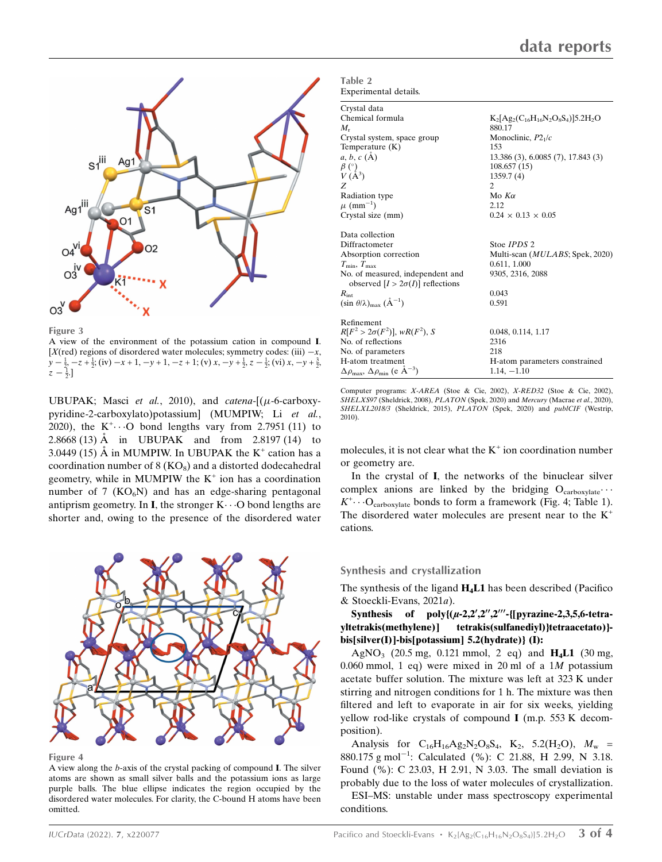

Figure 3

A view of the environment of the potassium cation in compound I. [X(red) regions of disordered water molecules; symmetry codes: (iii)  $-x$ ,  $y - \frac{1}{2}$ ,  $-z + \frac{1}{2}$ ; (iv)  $-x + 1$ ,  $-y + 1$ ,  $-z + 1$ ; (v)  $x$ ,  $-y + \frac{1}{2}$ ,  $z - \frac{1}{2}$ ; (vi)  $x$ ,  $-y + \frac{3}{2}$ ,  $z - \frac{1}{2}$ .]

UBUPAK; Masci et al., 2010), and catena- $[(\mu$ -6-carboxypyridine-2-carboxylato)potassium] (MUMPIW; Li et al., 2020), the  $K^+\cdots$ O bond lengths vary from 2.7951 (11) to 2.8668 (13)  $\AA$  in UBUPAK and from 2.8197 (14) to 3.0449 (15) A in MUMPIW. In UBUPAK the  $K^+$  cation has a coordination number of  $8$  (KO<sub>8</sub>) and a distorted dodecahedral geometry, while in MUMPIW the  $K^+$  ion has a coordination number of 7  $(KO_6N)$  and has an edge-sharing pentagonal antiprism geometry. In I, the stronger  $K \cdots O$  bond lengths are shorter and, owing to the presence of the disordered water



Figure 4

A view along the b-axis of the crystal packing of compound I. The silver atoms are shown as small silver balls and the potassium ions as large purple balls. The blue ellipse indicates the region occupied by the disordered water molecules. For clarity, the C-bound H atoms have been omitted.

| Table 2               |  |
|-----------------------|--|
| Experimental details. |  |
|                       |  |

| Crystal data                                                                |                                           |
|-----------------------------------------------------------------------------|-------------------------------------------|
| Chemical formula                                                            | $K_2[Ag_2(C_{16}H_{16}N_2O_8S_4)]5.2H_2O$ |
| $M_{\rm r}$                                                                 | 880.17                                    |
| Crystal system, space group                                                 | Monoclinic, $P21/c$                       |
| Temperature (K)                                                             | 153                                       |
| a, b, c (A)                                                                 | 13.386 (3), 6.0085 (7), 17.843 (3)        |
| $\begin{array}{c} \beta \ (\^{\circ}) \\ V \ (\AA^3) \end{array}$           | 108.657 (15)                              |
|                                                                             | 1359.7(4)                                 |
| Z                                                                           | 2                                         |
| Radiation type                                                              | Mo $K\alpha$                              |
| $\mu$ (mm <sup>-1</sup> )                                                   | 2.12                                      |
| Crystal size (mm)                                                           | $0.24 \times 0.13 \times 0.05$            |
| Data collection                                                             |                                           |
| Diffractometer                                                              | Stoe <i>IPDS</i> 2                        |
| Absorption correction                                                       | Multi-scan ( <i>MULABS</i> ; Spek, 2020)  |
| $T_{\min}, T_{\max}$                                                        | 0.611, 1.000                              |
| No. of measured, independent and<br>observed $[I > 2\sigma(I)]$ reflections | 9305, 2316, 2088                          |
| $R_{\rm int}$                                                               | 0.043                                     |
| $(\sin \theta/\lambda)_{\text{max}} (\AA^{-1})$                             | 0.591                                     |
| Refinement                                                                  |                                           |
| $R[F^2 > 2\sigma(F^2)], wR(F^2), S$                                         | 0.048, 0.114, 1.17                        |
| No. of reflections                                                          | 2316                                      |
| No. of parameters                                                           | 218                                       |
| H-atom treatment                                                            | H-atom parameters constrained             |
| $\Delta\rho_{\text{max}}$ , $\Delta\rho_{\text{min}}$ (e Å <sup>-3</sup> )  | $1.14, -1.10$                             |

Computer programs: X-AREA (Stoe & Cie, 2002), X-RED32 (Stoe & Cie, 2002), SHELXS97 (Sheldrick, 2008), PLATON (Spek, 2020) and Mercury (Macrae et al., 2020), SHELXL2018/3 (Sheldrick, 2015), PLATON (Spek, 2020) and publCIF (Westrip, 2010).

molecules, it is not clear what the  $K^+$  ion coordination number or geometry are.

In the crystal of I, the networks of the binuclear silver complex anions are linked by the bridging  $O_{\text{carboxylate}}$ ...  $K^+\cdots O_{\text{carboxylate}}$  bonds to form a framework (Fig. 4; Table 1). The disordered water molecules are present near to the  $K^+$ cations.

#### Synthesis and crystallization

The synthesis of the ligand  $H_4L1$  has been described (Pacifico & Stoeckli-Evans, 2021a).

Synthesis of poly $\{(\mu-2,2\prime,2\prime\prime,2\prime\prime\prime-\{[\text{pyrazine}-2,3,5,6-\text{tetra}-\}$ yltetrakis(methylene)] tetrakis(sulfanediyl)}tetraacetato)} bis[silver(I)]-bis[potassium] 5.2(hydrate)} (I):

AgNO<sub>3</sub> (20.5 mg, 0.121 mmol, 2 eq) and  $H_4L1$  (30 mg, 0.060 mmol, 1 eq) were mixed in 20 ml of a  $1M$  potassium acetate buffer solution. The mixture was left at 323 K under stirring and nitrogen conditions for 1 h. The mixture was then filtered and left to evaporate in air for six weeks, yielding yellow rod-like crystals of compound I (m.p. 553 K decomposition).

Analysis for  $C_{16}H_{16}Ag_2N_2O_8S_4$ ,  $K_2$ , 5.2(H<sub>2</sub>O),  $M_w$  = 880.175 g mol<sup>-1</sup>: Calculated (%): C 21.88, H 2.99, N 3.18. Found (%): C 23.03, H 2.91, N 3.03. The small deviation is probably due to the loss of water molecules of crystallization.

ESI–MS: unstable under mass spectroscopy experimental conditions.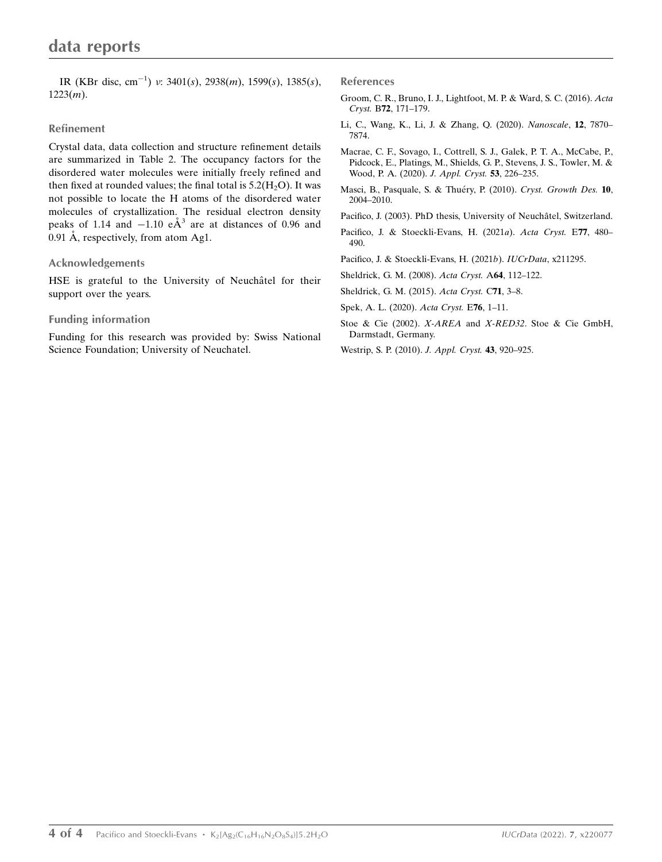IR (KBr disc, cm<sup>-1</sup>) v: 3401(s), 2938(m), 1599(s), 1385(s),  $1223(m)$ .

### Refinement

Crystal data, data collection and structure refinement details are summarized in Table 2. The occupancy factors for the disordered water molecules were initially freely refined and then fixed at rounded values; the final total is  $5.2(H<sub>2</sub>O)$ . It was not possible to locate the H atoms of the disordered water molecules of crystallization. The residual electron density peaks of 1.14 and  $-1.10$   $e\text{\AA}^3$  are at distances of 0.96 and 0.91 Å, respectively, from atom Ag1.

### Acknowledgements

HSE is grateful to the University of Neuchâtel for their support over the years.

### Funding information

Funding for this research was provided by: Swiss National Science Foundation; University of Neuchatel.

References

- [Groom, C. R., Bruno, I. J., Lightfoot, M. P. & Ward, S. C. \(2016\).](http://scripts.iucr.org/cgi-bin/cr.cgi?rm=pdfbb&cnor=im4015&bbid=BB1) Acta Cryst. B72[, 171–179.](http://scripts.iucr.org/cgi-bin/cr.cgi?rm=pdfbb&cnor=im4015&bbid=BB1)
- [Li, C., Wang, K., Li, J. & Zhang, Q. \(2020\).](http://scripts.iucr.org/cgi-bin/cr.cgi?rm=pdfbb&cnor=im4015&bbid=BB2) Nanoscale, 12, 7870– [7874.](http://scripts.iucr.org/cgi-bin/cr.cgi?rm=pdfbb&cnor=im4015&bbid=BB2)
- [Macrae, C. F., Sovago, I., Cottrell, S. J., Galek, P. T. A., McCabe, P.,](http://scripts.iucr.org/cgi-bin/cr.cgi?rm=pdfbb&cnor=im4015&bbid=BB3) [Pidcock, E., Platings, M., Shields, G. P., Stevens, J. S., Towler, M. &](http://scripts.iucr.org/cgi-bin/cr.cgi?rm=pdfbb&cnor=im4015&bbid=BB3) [Wood, P. A. \(2020\).](http://scripts.iucr.org/cgi-bin/cr.cgi?rm=pdfbb&cnor=im4015&bbid=BB3) J. Appl. Cryst. 53, 226–235.
- Masci, B., Pasquale, S. & Thuéry, P. (2010). Cryst. Growth Des. 10, [2004–2010.](http://scripts.iucr.org/cgi-bin/cr.cgi?rm=pdfbb&cnor=im4015&bbid=BB4)
- Pacifico, J. (2003). PhD thesis, University of Neuchâtel, Switzerland.
- [Pacifico, J. & Stoeckli-Evans, H. \(2021](http://scripts.iucr.org/cgi-bin/cr.cgi?rm=pdfbb&cnor=im4015&bbid=BB6)a). Acta Cryst. E77, 480– [490.](http://scripts.iucr.org/cgi-bin/cr.cgi?rm=pdfbb&cnor=im4015&bbid=BB6)
- [Pacifico, J. & Stoeckli-Evans, H. \(2021](http://scripts.iucr.org/cgi-bin/cr.cgi?rm=pdfbb&cnor=im4015&bbid=BB7)b). IUCrData, x211295.
- [Sheldrick, G. M. \(2008\).](http://scripts.iucr.org/cgi-bin/cr.cgi?rm=pdfbb&cnor=im4015&bbid=BB8) Acta Cryst. A64, 112–122.
- [Sheldrick, G. M. \(2015\).](http://scripts.iucr.org/cgi-bin/cr.cgi?rm=pdfbb&cnor=im4015&bbid=BB9) Acta Cryst. C71, 3–8.

[Spek, A. L. \(2020\).](http://scripts.iucr.org/cgi-bin/cr.cgi?rm=pdfbb&cnor=im4015&bbid=BB10) Acta Cryst. E76, 1–11.

- Stoe & Cie (2002). X-AREA and X-RED32[. Stoe & Cie GmbH,](http://scripts.iucr.org/cgi-bin/cr.cgi?rm=pdfbb&cnor=im4015&bbid=BB11) [Darmstadt, Germany.](http://scripts.iucr.org/cgi-bin/cr.cgi?rm=pdfbb&cnor=im4015&bbid=BB11)
- [Westrip, S. P. \(2010\).](http://scripts.iucr.org/cgi-bin/cr.cgi?rm=pdfbb&cnor=im4015&bbid=BB12) J. Appl. Cryst. 43, 920–925.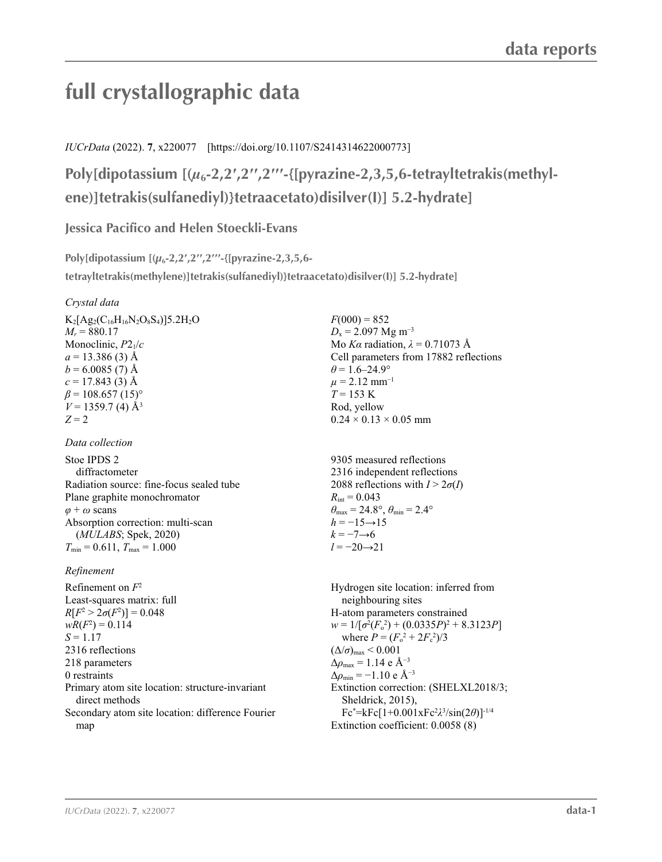# **full crystallographic data**

*IUCrData* (2022). **7**, x220077 [https://doi.org/10.1107/S2414314622000773]

**Poly[dipotassium [(***µ***6-2,2′,2′′,2′′′-{[pyrazine-2,3,5,6-tetrayltetrakis(methylene)]tetrakis(sulfanediyl)}tetraacetato)disilver(I)] 5.2-hydrate]**

**Jessica Pacifico and Helen Stoeckli-Evans**

**Poly[dipotassium [(***µ***6-2,2′,2′′,2′′′-{[pyrazine-2,3,5,6 tetrayltetrakis(methylene)]tetrakis(sulfanediyl)}tetraacetato)disilver(I)] 5.2-hydrate]** 

### *Crystal data*

 $K_2[Ag_2(C_{16}H_{16}N_2O_8S_4)]5.2H_2O$  $M_r = 880.17$ Monoclinic, *P*21/*c*  $a = 13.386(3)$  Å  $b = 6.0085(7)$  Å  $c = 17.843(3)$  Å  $\beta$  = 108.657 (15)<sup>o</sup>  $V = 1359.7$  (4)  $\AA^3$ *Z* = 2

### *Data collection*

Stoe IPDS 2 diffractometer Radiation source: fine-focus sealed tube Plane graphite monochromator *φ* + *ω* scans Absorption correction: multi-scan (*MULABS*; Spek, 2020)  $T_{\min} = 0.611$ ,  $T_{\max} = 1.000$ 

## *Refinement*

Refinement on *F*<sup>2</sup> Least-squares matrix: full  $R[F^2 > 2\sigma(F^2)] = 0.048$  $wR(F^2) = 0.114$  $S = 1.17$ 2316 reflections 218 parameters 0 restraints Primary atom site location: structure-invariant direct methods Secondary atom site location: difference Fourier map

 $F(000) = 852$  $D_x = 2.097$  Mg m<sup>-3</sup> Mo *Kα* radiation, *λ* = 0.71073 Å Cell parameters from 17882 reflections  $\theta$  = 1.6–24.9°  $\mu$  = 2.12 mm<sup>-1</sup>  $T = 153 \text{ K}$ Rod, yellow  $0.24 \times 0.13 \times 0.05$  mm

9305 measured reflections 2316 independent reflections 2088 reflections with  $I > 2\sigma(I)$  $R_{\text{int}} = 0.043$  $\theta_{\text{max}} = 24.8^{\circ}, \theta_{\text{min}} = 2.4^{\circ}$  $h = -15 \rightarrow 15$  $k = -7 \rightarrow 6$ *l* = −20→21

Hydrogen site location: inferred from neighbouring sites H-atom parameters constrained  $w = 1/[\sigma^2 (F_0^2) + (0.0335P)^2 + 8.3123P]$ where  $P = (F_o^2 + 2F_c^2)/3$  $(\Delta/\sigma)_{\text{max}}$  < 0.001  $\Delta \rho_{\text{max}} = 1.14 \text{ e } \text{\AA}^{-3}$  $\Delta \rho_{\rm min} = -1.10 \text{ e A}^{-3}$ Extinction correction: (SHELXL2018/3; Sheldrick, 2015), Fc\* =kFc[1+0.001xFc2 *λ*3 /sin(2*θ*)]-1/4 Extinction coefficient: 0.0058 (8)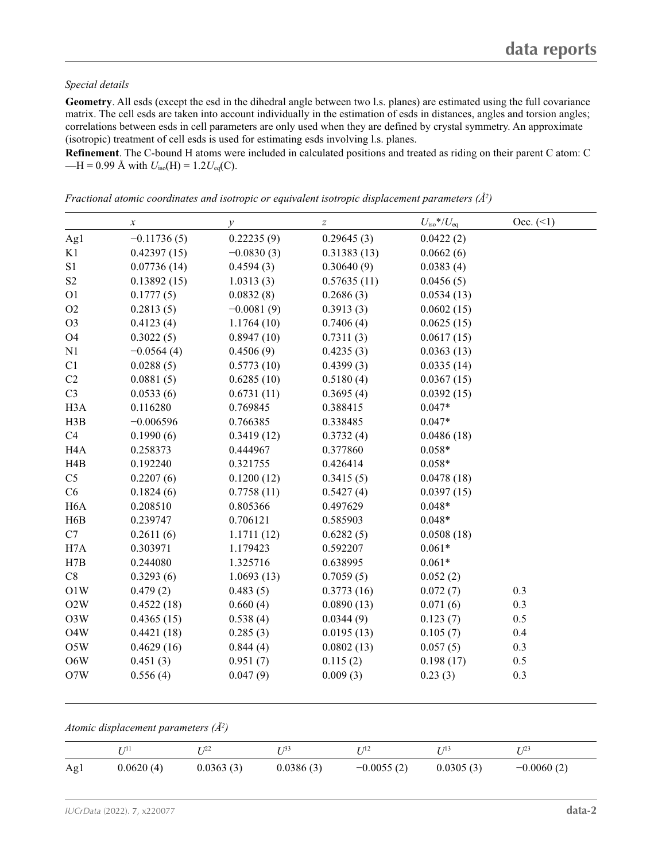### *Special details*

**Geometry**. All esds (except the esd in the dihedral angle between two l.s. planes) are estimated using the full covariance matrix. The cell esds are taken into account individually in the estimation of esds in distances, angles and torsion angles; correlations between esds in cell parameters are only used when they are defined by crystal symmetry. An approximate (isotropic) treatment of cell esds is used for estimating esds involving l.s. planes.

**Refinement**. The C-bound H atoms were included in calculated positions and treated as riding on their parent C atom: C  $-H = 0.99$  Å with  $U_{iso}(H) = 1.2U_{eq}(C)$ .

|                  | $\boldsymbol{x}$ | $\mathcal{Y}$ | $\boldsymbol{Z}$ | $U_{\rm iso} * / U_{\rm eq}$ | Occ. (2) |
|------------------|------------------|---------------|------------------|------------------------------|----------|
|                  | $-0.11736(5)$    | 0.22235(9)    | 0.29645(3)       | 0.0422(2)                    |          |
| Ag1<br>K1        |                  |               |                  |                              |          |
|                  | 0.42397(15)      | $-0.0830(3)$  | 0.31383(13)      | 0.0662(6)                    |          |
| S1               | 0.07736(14)      | 0.4594(3)     | 0.30640(9)       | 0.0383(4)                    |          |
| S <sub>2</sub>   | 0.13892(15)      | 1.0313(3)     | 0.57635(11)      | 0.0456(5)                    |          |
| O <sub>1</sub>   | 0.1777(5)        | 0.0832(8)     | 0.2686(3)        | 0.0534(13)                   |          |
| O2               | 0.2813(5)        | $-0.0081(9)$  | 0.3913(3)        | 0.0602(15)                   |          |
| O <sub>3</sub>   | 0.4123(4)        | 1.1764(10)    | 0.7406(4)        | 0.0625(15)                   |          |
| O <sub>4</sub>   | 0.3022(5)        | 0.8947(10)    | 0.7311(3)        | 0.0617(15)                   |          |
| N1               | $-0.0564(4)$     | 0.4506(9)     | 0.4235(3)        | 0.0363(13)                   |          |
| C1               | 0.0288(5)        | 0.5773(10)    | 0.4399(3)        | 0.0335(14)                   |          |
| C2               | 0.0881(5)        | 0.6285(10)    | 0.5180(4)        | 0.0367(15)                   |          |
| C <sub>3</sub>   | 0.0533(6)        | 0.6731(11)    | 0.3695(4)        | 0.0392(15)                   |          |
| H <sub>3</sub> A | 0.116280         | 0.769845      | 0.388415         | $0.047*$                     |          |
| H3B              | $-0.006596$      | 0.766385      | 0.338485         | $0.047*$                     |          |
| C4               | 0.1990(6)        | 0.3419(12)    | 0.3732(4)        | 0.0486(18)                   |          |
| H <sub>4</sub> A | 0.258373         | 0.444967      | 0.377860         | $0.058*$                     |          |
| H4B              | 0.192240         | 0.321755      | 0.426414         | $0.058*$                     |          |
| C <sub>5</sub>   | 0.2207(6)        | 0.1200(12)    | 0.3415(5)        | 0.0478(18)                   |          |
| C6               | 0.1824(6)        | 0.7758(11)    | 0.5427(4)        | 0.0397(15)                   |          |
| H <sub>6</sub> A | 0.208510         | 0.805366      | 0.497629         | $0.048*$                     |          |
| H <sub>6</sub> B | 0.239747         | 0.706121      | 0.585903         | $0.048*$                     |          |
| C7               | 0.2611(6)        | 1.1711(12)    | 0.6282(5)        | 0.0508(18)                   |          |
| H <sub>7</sub> A | 0.303971         | 1.179423      | 0.592207         | $0.061*$                     |          |
| H7B              | 0.244080         | 1.325716      | 0.638995         | $0.061*$                     |          |
| $\rm C8$         | 0.3293(6)        | 1.0693(13)    | 0.7059(5)        | 0.052(2)                     |          |
| O1W              | 0.479(2)         | 0.483(5)      | 0.3773(16)       | 0.072(7)                     | 0.3      |
| O2W              | 0.4522(18)       | 0.660(4)      | 0.0890(13)       | 0.071(6)                     | 0.3      |
| O3W              | 0.4365(15)       | 0.538(4)      | 0.0344(9)        | 0.123(7)                     | 0.5      |
| O <sub>4</sub> W | 0.4421(18)       | 0.285(3)      | 0.0195(13)       | 0.105(7)                     | 0.4      |
| O5W              | 0.4629(16)       | 0.844(4)      | 0.0802(13)       | 0.057(5)                     | 0.3      |
| O6W              | 0.451(3)         | 0.951(7)      | 0.115(2)         | 0.198(17)                    | 0.5      |
| O7W              | 0.556(4)         | 0.047(9)      | 0.009(3)         | 0.23(3)                      | 0.3      |
|                  |                  |               |                  |                              |          |

*Fractional atomic coordinates and isotropic or equivalent isotropic displacement parameters (Å2 )*

*Atomic displacement parameters (Å2 )*

|     | I 11 1    | $1^{12}$  | r 733     | T 712        | I /13     | (1, 2)       |
|-----|-----------|-----------|-----------|--------------|-----------|--------------|
| Ag1 | 0.0620(4) | 0.0363(3) | 0.0386(3) | $-0.0055(2)$ | 0.0305(3) | $-0.0060(2)$ |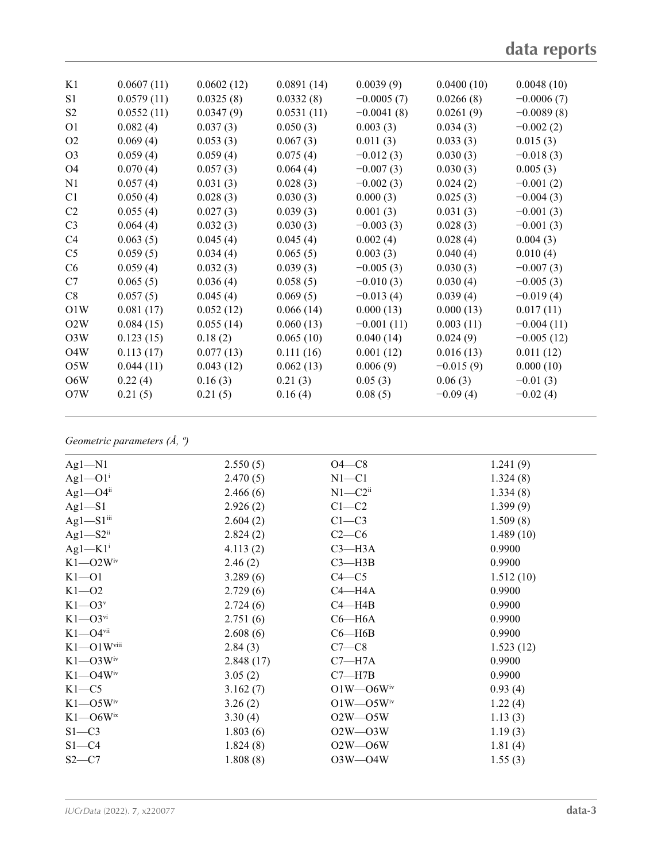| K1               | 0.0607(11) | 0.0602(12) | 0.0891(14) | 0.0039(9)    | 0.0400(10)  | 0.0048(10)   |
|------------------|------------|------------|------------|--------------|-------------|--------------|
| S1               | 0.0579(11) | 0.0325(8)  | 0.0332(8)  | $-0.0005(7)$ | 0.0266(8)   | $-0.0006(7)$ |
| S <sub>2</sub>   | 0.0552(11) | 0.0347(9)  | 0.0531(11) | $-0.0041(8)$ | 0.0261(9)   | $-0.0089(8)$ |
| O <sub>1</sub>   | 0.082(4)   | 0.037(3)   | 0.050(3)   | 0.003(3)     | 0.034(3)    | $-0.002(2)$  |
| O <sub>2</sub>   | 0.069(4)   | 0.053(3)   | 0.067(3)   | 0.011(3)     | 0.033(3)    | 0.015(3)     |
| O <sub>3</sub>   | 0.059(4)   | 0.059(4)   | 0.075(4)   | $-0.012(3)$  | 0.030(3)    | $-0.018(3)$  |
| O <sub>4</sub>   | 0.070(4)   | 0.057(3)   | 0.064(4)   | $-0.007(3)$  | 0.030(3)    | 0.005(3)     |
| N <sub>1</sub>   | 0.057(4)   | 0.031(3)   | 0.028(3)   | $-0.002(3)$  | 0.024(2)    | $-0.001(2)$  |
| C <sub>1</sub>   | 0.050(4)   | 0.028(3)   | 0.030(3)   | 0.000(3)     | 0.025(3)    | $-0.004(3)$  |
| C <sub>2</sub>   | 0.055(4)   | 0.027(3)   | 0.039(3)   | 0.001(3)     | 0.031(3)    | $-0.001(3)$  |
| C <sub>3</sub>   | 0.064(4)   | 0.032(3)   | 0.030(3)   | $-0.003(3)$  | 0.028(3)    | $-0.001(3)$  |
| C4               | 0.063(5)   | 0.045(4)   | 0.045(4)   | 0.002(4)     | 0.028(4)    | 0.004(3)     |
| C <sub>5</sub>   | 0.059(5)   | 0.034(4)   | 0.065(5)   | 0.003(3)     | 0.040(4)    | 0.010(4)     |
| C6               | 0.059(4)   | 0.032(3)   | 0.039(3)   | $-0.005(3)$  | 0.030(3)    | $-0.007(3)$  |
| C7               | 0.065(5)   | 0.036(4)   | 0.058(5)   | $-0.010(3)$  | 0.030(4)    | $-0.005(3)$  |
| C8               | 0.057(5)   | 0.045(4)   | 0.069(5)   | $-0.013(4)$  | 0.039(4)    | $-0.019(4)$  |
| O1W              | 0.081(17)  | 0.052(12)  | 0.066(14)  | 0.000(13)    | 0.000(13)   | 0.017(11)    |
| O2W              | 0.084(15)  | 0.055(14)  | 0.060(13)  | $-0.001(11)$ | 0.003(11)   | $-0.004(11)$ |
| O3W              | 0.123(15)  | 0.18(2)    | 0.065(10)  | 0.040(14)    | 0.024(9)    | $-0.005(12)$ |
| O <sub>4</sub> W | 0.113(17)  | 0.077(13)  | 0.111(16)  | 0.001(12)    | 0.016(13)   | 0.011(12)    |
| O5W              | 0.044(11)  | 0.043(12)  | 0.062(13)  | 0.006(9)     | $-0.015(9)$ | 0.000(10)    |
| O6W              | 0.22(4)    | 0.16(3)    | 0.21(3)    | 0.05(3)      | 0.06(3)     | $-0.01(3)$   |
| O7W              | 0.21(5)    | 0.21(5)    | 0.16(4)    | 0.08(5)      | $-0.09(4)$  | $-0.02(4)$   |
|                  |            |            |            |              |             |              |

### *Geometric parameters (Å, º)*

| $Ag1-M1$                   | 2.550(5)  | $O4-C8$                     | 1.241(9)  |
|----------------------------|-----------|-----------------------------|-----------|
| $Ag1$ — $O1i$              | 2.470(5)  | $N1 - C1$                   | 1.324(8)  |
| $Ag1 - O4$ <sup>ii</sup>   | 2.466(6)  | $N1 - C2$ <sup>ii</sup>     | 1.334(8)  |
| $Ag1-S1$                   | 2.926(2)  | $C1 - C2$                   | 1.399(9)  |
| $Ag1-S1$ <sup>iii</sup>    | 2.604(2)  | $C1-C3$                     | 1.509(8)  |
| $Ag1-S2ii$                 | 2.824(2)  | $C2-C6$                     | 1.489(10) |
| $Ag1-K1$ <sup>i</sup>      | 4.113(2)  | $C3 - H3A$                  | 0.9900    |
| $K1 - O2W^{\text{iv}}$     | 2.46(2)   | $C3 - H3B$                  | 0.9900    |
| $K1 - 01$                  | 3.289(6)  | $C4 - C5$                   | 1.512(10) |
| $K1 - 02$                  | 2.729(6)  | $C4 - H4A$                  | 0.9900    |
| $K1 - O3v$                 | 2.724(6)  | $C4 - H4B$                  | 0.9900    |
| $K1 - O3$ <sup>vi</sup>    | 2.751(6)  | $C6 - H6A$                  | 0.9900    |
| $K1 - O4$ <sup>vii</sup>   | 2.608(6)  | $C6 - H6B$                  | 0.9900    |
| $K1 - O1W$ <sup>viii</sup> | 2.84(3)   | $C7-C8$                     | 1.523(12) |
| $K1 - O3W^{\text{iv}}$     | 2.848(17) | $C7 - H7A$                  | 0.9900    |
| $K1 - O4W$ <sup>iv</sup>   | 3.05(2)   | $C7 - H7B$                  | 0.9900    |
| $K1-C5$                    | 3.162(7)  | $O1W - O6W$ <sup>iv</sup>   | 0.93(4)   |
| $K1 - O5W^{\text{iv}}$     | 3.26(2)   | $O1W$ — $O5W$ <sup>iv</sup> | 1.22(4)   |
| $K1 - O6W$ <sup>ix</sup>   | 3.30(4)   | $O2W - O5W$                 | 1.13(3)   |
| $S1 - C3$                  | 1.803(6)  | $O2W - O3W$                 | 1.19(3)   |
| $S1 - C4$                  | 1.824(8)  | $O2W - O6W$                 | 1.81(4)   |
| $S2-C7$                    | 1.808(8)  | $O3W - O4W$                 | 1.55(3)   |
|                            |           |                             |           |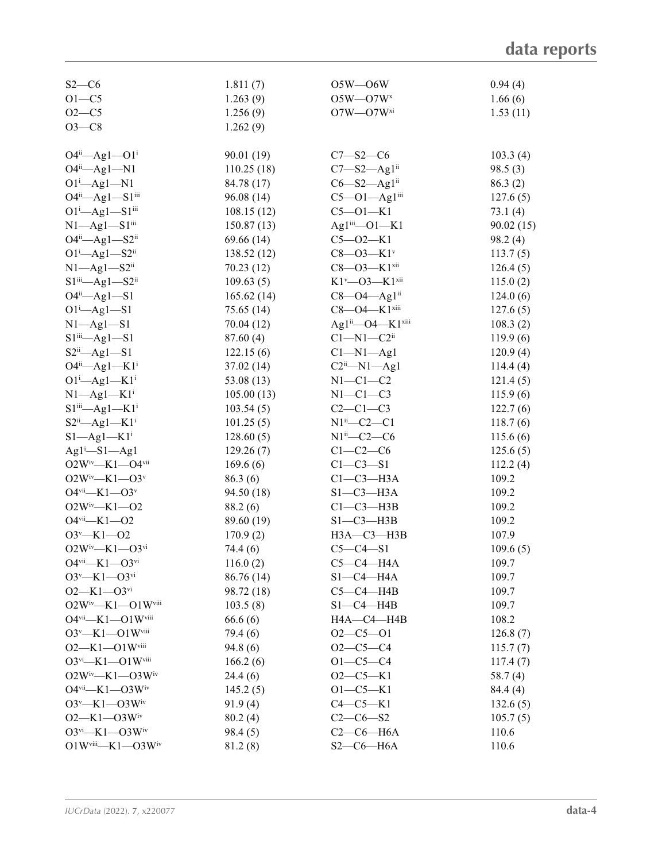| $S2-C6$                                              | 1.811(7)            | $O5W - O6W$                              | 0.94(4)        |
|------------------------------------------------------|---------------------|------------------------------------------|----------------|
| $O1 - C5$                                            | 1.263(9)            | $O5W - O7Wx$                             | 1.66(6)        |
| $O2 - C5$                                            | 1.256(9)            | $O7W$ — $O7W^{xi}$                       | 1.53(11)       |
| $O3-C8$                                              | 1.262(9)            |                                          |                |
|                                                      |                     |                                          |                |
| $O4^{ii}$ $\rightarrow$ Ag1 $\rightarrow$ $O1^{i}$   | 90.01 (19)          | $C7 - S2 - C6$                           | 103.3(4)       |
| $O4^{ii}$ —Ag1—N1                                    | 110.25(18)          | $C7 - S2 - Ag1$ <sup>ii</sup>            | 98.5(3)        |
| $O1^i$ —Ag $1$ —N $1$                                | 84.78 (17)          | $C6 - S2 - Ag1ii$                        | 86.3(2)        |
| O4ii-Ag1-S1iii                                       | 96.08 (14)          | $C5 - O1 - Ag1$ iii                      | 127.6(5)       |
| $O1^i$ —Ag $1$ —S $1$ <sup>iii</sup>                 | 108.15(12)          | $C5 - O1 - K1$                           | 73.1(4)        |
| $N1 - Ag1 - S1$ <sup>iii</sup>                       | 150.87(13)          | $Ag1$ <sup>iii</sup> <sub>-O1</sub> -K1  | 90.02(15)      |
| $O4^{ii}$ —Ag1—S2 <sup>ii</sup>                      | 69.66 (14)          | $C5 - 02 - K1$                           | 98.2(4)        |
| $O1^i$ -Ag $1$ -S2 <sup>ii</sup>                     | 138.52(12)          | $C8 - O3 - K1$ <sup>v</sup>              | 113.7(5)       |
| $N1$ —Ag $1$ —S2 <sup>ii</sup>                       | 70.23(12)           | $C8 - O3 - K1$ <sup>xii</sup>            | 126.4(5)       |
| $S1$ <sup>iii</sup> -Ag1- $S2$ <sup>ii</sup>         | 109.63(5)           | $K1^v$ —O3— $K1^{xii}$                   | 115.0(2)       |
| $O4ii - Ag1 - S1$                                    | 165.62(14)          | $C8 - O4 - Ag1$ <sup>ii</sup>            | 124.0(6)       |
| $O1^i$ —Ag $1$ —S1                                   | 75.65 (14)          | C8-04-K1xiii                             | 127.6(5)       |
| $N1 - Ag1 - S1$                                      | 70.04 (12)          | Ag1 <sup>ii</sup> -O4-K1 <sup>xiii</sup> | 108.3(2)       |
| $S1$ <sup>iii</sup> <sub><math>-Ag1-S1</math></sub>  | 87.60(4)            | $C1 - N1 - C2$ <sup>ii</sup>             | 119.9(6)       |
| $S2ii$ $\rightarrow$ Ag1 $\rightarrow$ S1            | 122.15(6)           | $Cl-M1-Agl$                              | 120.9(4)       |
| $O4^{ii}$ $\rightarrow$ $Ag1$ $\rightarrow$ $K1^{i}$ | 37.02 (14)          | $C2ii$ -N1-Ag1                           | 114.4(4)       |
| $O1^i$ -Ag $1$ -K $1^i$                              | 53.08(13)           | $N1-C1-C2$                               | 121.4(5)       |
| $N1 - Ag1 - K1$ <sup>i</sup>                         | 105.00(13)          | $N1-C1-C3$                               | 115.9(6)       |
| $S1$ <sup>iii</sup> $-Ag1-K1$ <sup>i</sup>           | 103.54(5)           | $C2-C1-C3$                               | 122.7(6)       |
| $S2^{ii}$ $\rightarrow$ $Ag1$ $\rightarrow$ $K1^{i}$ | 101.25(5)           | $N1^{ii}$ - $C2$ - $C1$                  | 118.7(6)       |
| $S1 - Ag1 - K1$ <sup>i</sup>                         | 128.60(5)           | $N1^{ii}$ - C2 - C6                      | 115.6(6)       |
| $Ag1^i-S1-Ag1$                                       | 129.26(7)           | $C1-C2-C6$                               | 125.6(5)       |
| $O2W^{iv}$ —K1—O4vii                                 | 169.6(6)            | $C1 - C3 - S1$                           | 112.2(4)       |
| $O2W^{iv}$ —K1—O3 <sup>v</sup>                       | 86.3(6)             | $C1-C3-H3A$                              | 109.2          |
| $O4$ <sup>vii</sup> —K1—O3 <sup>v</sup>              | 94.50 (18)          | $S1-C3-H3A$                              | 109.2          |
| $O2W^{iv}$ —K1—O2                                    | 88.2 (6)            | $C1-C3-H3B$                              | 109.2          |
| $O4$ <sup>vii</sup> -K1- $O2$                        | 89.60 (19)          | $S1-C3-H3B$                              | 109.2          |
| $O3^v$ -K1- $O2$                                     | 170.9(2)            | НЗА-СЗ-НЗВ                               | 107.9          |
| $O2W^{iv}$ —K1—O3vi                                  | 74.4 (6)            | $C5-C4-S1$                               | 109.6(5)       |
| $O4$ <sup>vii</sup> —K1—O3 <sup>vi</sup>             | 116.0(2)            | $C5-C4-H4A$                              | 109.7          |
| $O3^v$ —K1— $O3^{vi}$                                | 86.76 (14)          | $S1-C4-H4A$                              |                |
| $O2 - K1 - O3$ <sup>vi</sup>                         | 98.72 (18)          | $C5-C4-HAB$                              | 109.7<br>109.7 |
| $O2W^{\text{iv}} - K1 - O1W^{\text{viii}}$           |                     | $S1-C4-H4B$                              |                |
| $O4$ <sup>vii</sup> —K1—O1W <sup>viii</sup>          | 103.5(8)<br>66.6(6) | HA—C4—H4B                                | 109.7<br>108.2 |
|                                                      |                     |                                          |                |
| $O3^v$ —K1—O1W $v$ iii                               | 79.4 (6)            | $O2-C5-O1$                               | 126.8(7)       |
| $O2 - K1 - O1W$ <sup>viii</sup>                      | 94.8(6)             | $O2-C5-C4$                               | 115.7(7)       |
| $O3^{vi} - K1 - O1W^{viii}$                          | 166.2(6)            | $O1 - C5 - C4$                           | 117.4(7)       |
| $O2W^{iv} - K1 - O3W^{iv}$                           | 24.4(6)             | $O2-C5-K1$                               | 58.7(4)        |
| $O4^{vii}$ - K1 - $O3W^{iv}$                         | 145.2(5)            | $O1 - C5 - K1$                           | 84.4 (4)       |
| $O3^v$ —K1—O3Wiv                                     | 91.9(4)             | $C4-C5-K1$                               | 132.6(5)       |
| $O2-K1-O3W$ iv                                       | 80.2(4)             | $C2-C6-S2$                               | 105.7(5)       |
| $O3^{vi}$ – K1 – $O3W^{iv}$                          | 98.4(5)             | $C2-C6-H6A$                              | 110.6          |
| $O1Wviii - K1 - O3Wiv$                               | 81.2(8)             | $S2-C6-H6A$                              | 110.6          |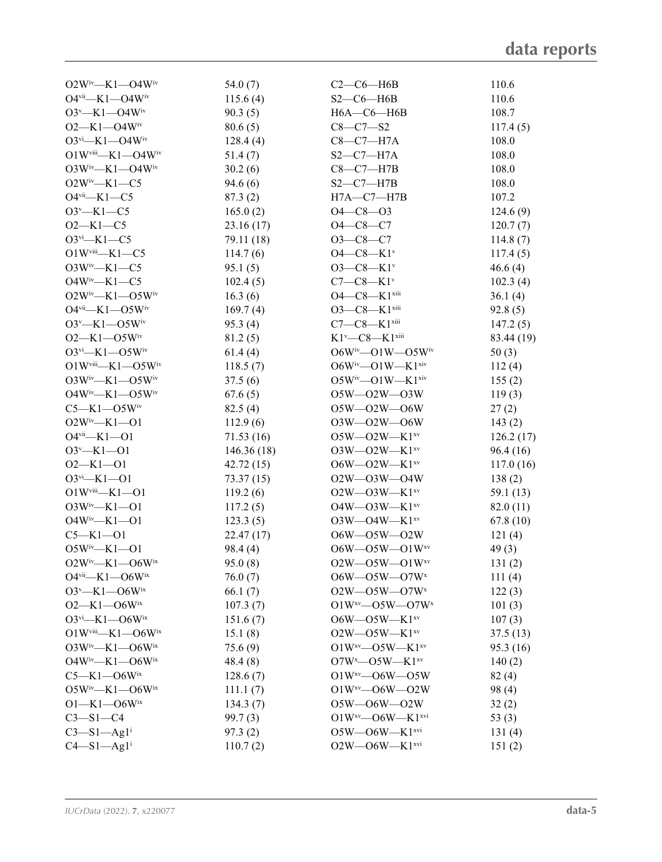| $O2W^{iv} - K1 - O4W^{iv}$                   | 54.0 $(7)$ | $C2-C6-H6B$                          | 110.6      |
|----------------------------------------------|------------|--------------------------------------|------------|
| $O4$ <sup>vii</sup> —K1—O4W <sup>iv</sup>    | 115.6(4)   | $S2-C6-H6B$                          | 110.6      |
| $O3^v$ —K1—O4Wiv                             | 90.3(5)    | $H6A - C6 - H6B$                     | 108.7      |
| $O2-K1-O4W$ <sup>iv</sup>                    | 80.6(5)    | $C8 - C7 - S2$                       | 117.4(5)   |
| $O3^{vi}$ —K1—O4W <sup>iv</sup>              | 128.4(4)   | $C8-C7-H7A$                          | 108.0      |
| $O1Wviii - K1 - O4Wiv$                       | 51.4(7)    | $S2-C7-H7A$                          | 108.0      |
| $O3W^{iv} - K1 - O4W^{iv}$                   | 30.2(6)    | $C8-C7-H7B$                          | 108.0      |
| $O2W^iv$ —K1—C5                              | 94.6(6)    | $S2-C7-H7B$                          | 108.0      |
| $O4$ <sup>vii</sup> -K1-C5                   | 87.3(2)    | $H7A - C7 - H7B$                     | 107.2      |
| $O3^v$ —K1—C5                                | 165.0(2)   | $O4 - C8 - O3$                       | 124.6(9)   |
| $O2-K1-C5$                                   | 23.16(17)  | $O4 - C8 - C7$                       | 120.7(7)   |
| $O3$ <sup>vi</sup> -K1-C5                    | 79.11 (18) | $O3-C8-C7$                           | 114.8(7)   |
| $O1Wviii - K1 - C5$                          | 114.7(6)   | $O4-C8-K1$ <sup>v</sup>              | 117.4(5)   |
| $O3W^iv$ —K1—C5                              | 95.1(5)    | $O3-C8-K1$ <sup>v</sup>              | 46.6(4)    |
| $O4W^iv$ —K1—C5                              | 102.4(5)   | $C7-C8-K1$ <sup>v</sup>              | 102.3(4)   |
| $O2W^{iv}$ —K1—O5Wiv                         | 16.3(6)    | O4-C8-K1xiii                         | 36.1(4)    |
| $O4$ <sup>vii</sup> -K1- $O5W$ <sup>iv</sup> | 169.7(4)   | $O3 - C8 - K1$ <sup>xiii</sup>       | 92.8(5)    |
| $O3^v$ —K1—O5Wiv                             | 95.3(4)    | $C7-C8-K1$ <sup>xiii</sup>           | 147.2(5)   |
| $O2 - K1 - O5W$ <sup>iv</sup>                | 81.2(5)    | $K1^v$ — $C8$ — $K1$ <sup>xiii</sup> | 83.44 (19) |
| $O3^{vi}$ —K1— $O5W^{iv}$                    | 61.4(4)    | $O6W^{iv}$ - $O1W$ - $O5W^{iv}$      | 50(3)      |
| $O1W$ <sup>viii</sup> —K1—O5W <sup>iv</sup>  | 118.5(7)   | $O6W^{iv}$ — $O1W$ — $K1^{xiv}$      | 112(4)     |
| $O3W^{iv} - K1 - O5W^{iv}$                   | 37.5(6)    | $O5W^{iv}$ — $O1W$ — $K1^{xiv}$      | 155(2)     |
| $O4W^{iv}$ —K1—O5W <sup>iv</sup>             | 67.6(5)    | $O5W - O2W - O3W$                    | 119(3)     |
| $C5 - K1 - O5W$ iv                           | 82.5(4)    | $O5W - O2W - O6W$                    | 27(2)      |
| $O2W^iv$ —K1—O1                              | 112.9(6)   | $O3W - O2W - O6W$                    | 143(2)     |
| $O4$ <sup>vii</sup> —K1—O1                   | 71.53(16)  | $O5W$ — $O2W$ — $K1^{xv}$            | 126.2(17)  |
| $O3^v$ -K1-01                                | 146.36(18) | $O3W - O2W - K1^{xv}$                | 96.4 (16)  |
| $O2 - K1 - O1$                               | 42.72(15)  | $O6W$ — $O2W$ — $K1^{xv}$            | 117.0(16)  |
| $O3^{vi} - K1 - O1$                          | 73.37(15)  | $O2W - O3W - O4W$                    | 138(2)     |
| $O1Wviii - K1 - O1$                          | 119.2(6)   | $O2W$ — $O3W$ — $K1^{xv}$            | 59.1 (13)  |
| $O3W^iv$ —K1—O1                              | 117.2(5)   | $O4W$ — $O3W$ — $K1^{xv}$            | 82.0 (11)  |
| $O4W^{iv}$ —K1—O1                            | 123.3(5)   | $O3W - O4W - K1^{xv}$                | 67.8(10)   |
| $C5 - K1 - 01$                               | 22.47(17)  | O6W-O5W-O2W                          | 121(4)     |
| $O5W^{iv}$ —K1—O1                            | 98.4(4)    | $O6W - O5W - O1W^{xy}$               | 49(3)      |
| $O2W^{iv}$ —K1—O6Wix                         | 95.0(8)    | $O2W$ — $O5W$ — $O1W^{xy}$           | 131(2)     |
| $O4$ <sup>vii</sup> —K1—O6W <sup>ix</sup>    | 76.0(7)    | $O6W - O5W - O7Wx$                   | 111(4)     |
| $O3^v$ —K1—O6Wix                             | 66.1(7)    | $O2W - O5W - O7Wx$                   | 122(3)     |
| $O2-K1-06W$ <sup>ix</sup>                    | 107.3(7)   | $O1W^{xy}$ - $O5W$ - $O7W^{x}$       | 101(3)     |
| $O3$ <sup>vi</sup> —K1—O6W <sup>ix</sup>     | 151.6(7)   | $O6W$ — $O5W$ — $K1$ <sup>xv</sup>   | 107(3)     |
| $O1Wviii$ -K1- $O6Wix$                       | 15.1(8)    | $O2W - O5W - K1^{xv}$                | 37.5(13)   |
| $O3W^{iv}$ —K1—O6Wix                         | 75.6(9)    | $O1W^{xy}$ - $O5W$ - $K1^{xy}$       | 95.3 (16)  |
| $O4W^{iv}$ —K1—O6Wix                         | 48.4(8)    | $O7W^x$ — $O5W$ — $K1^{xy}$          | 140(2)     |
| $C5 - K1 - O6W$ ix                           | 128.6(7)   | $O1W^{xy}$ - $O6W$ - $O5W$           | 82(4)      |
| $O5W^{iv}$ —K1—O6Wix                         | 111.1(7)   | $O1W^{xy}$ - $O6W$ - $O2W$           | 98 (4)     |
| $O1 - K1 - O6W$ <sup>ix</sup>                | 134.3(7)   | $O5W - O6W - O2W$                    | 32(2)      |
| $C3 - S1 - C4$                               | 99.7(3)    | $O1W^{xy}$ - $O6W$ - $K1^{xvi}$      | 53 $(3)$   |
| $C3 - S1 - Ag1$ <sup>i</sup>                 | 97.3(2)    | $O5W - O6W - K1$ <sub>xvi</sub>      | 131(4)     |
| $C4-S1-Ag1$ <sup>i</sup>                     | 110.7(2)   | $O2W - O6W - K1$ xvi                 | 151(2)     |